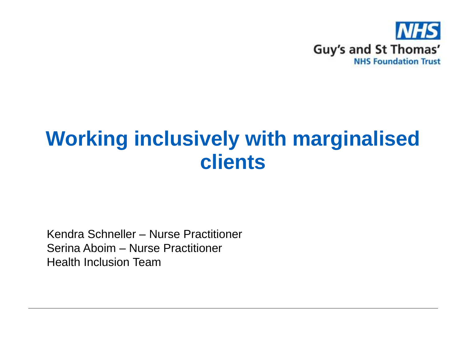

#### **Working inclusively with marginalised clients**

Kendra Schneller – Nurse Practitioner Serina Aboim – Nurse Practitioner Health Inclusion Team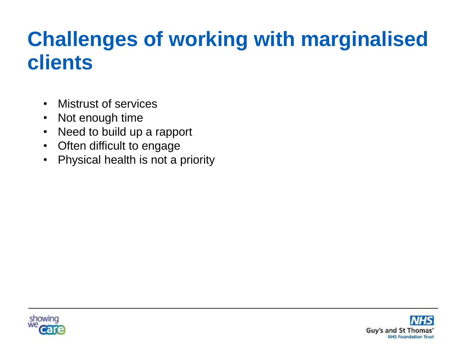## **Challenges of working with marginalised clients**

- Mistrust of services
- Not enough time
- Need to build up a rapport
- Often difficult to engage
- Physical health is not a priority



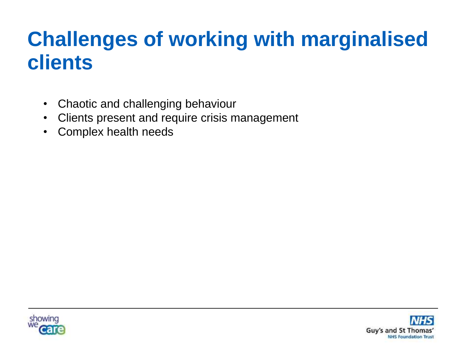# **Challenges of working with marginalised clients**

- Chaotic and challenging behaviour
- Clients present and require crisis management
- Complex health needs



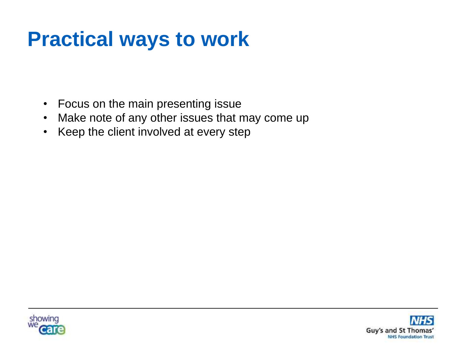### **Practical ways to work**

- Focus on the main presenting issue
- Make note of any other issues that may come up
- Keep the client involved at every step



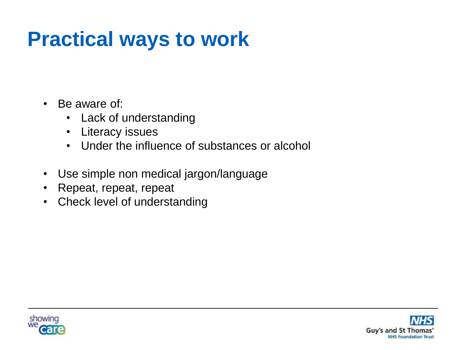## **Practical ways to work**

- Be aware of:
	- Lack of understanding
	- Literacy issues
	- Under the influence of substances or alcohol
- Use simple non medical jargon/language
- Repeat, repeat, repeat
- Check level of understanding



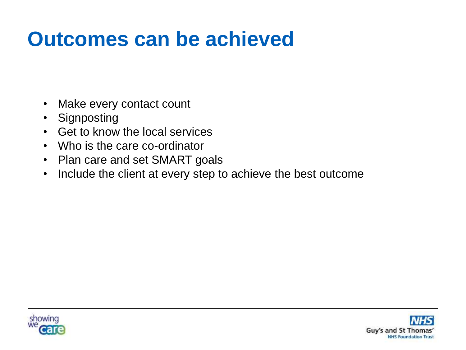#### **Outcomes can be achieved**

- Make every contact count
- Signposting
- Get to know the local services
- Who is the care co-ordinator
- Plan care and set SMART goals
- Include the client at every step to achieve the best outcome



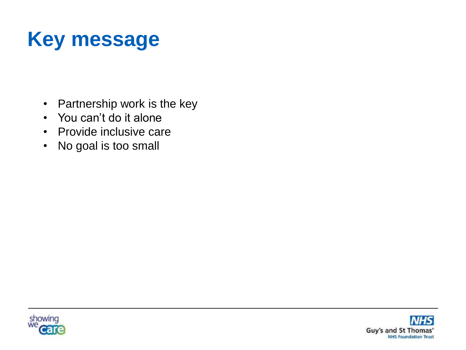# **Key message**

- Partnership work is the key
- You can't do it alone
- Provide inclusive care
- No goal is too small



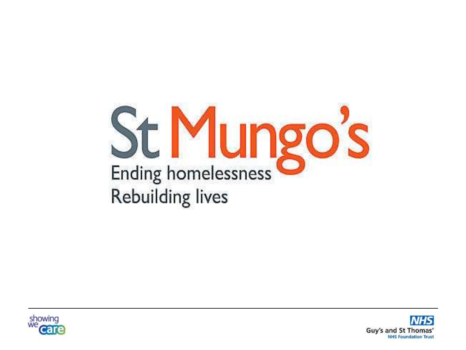



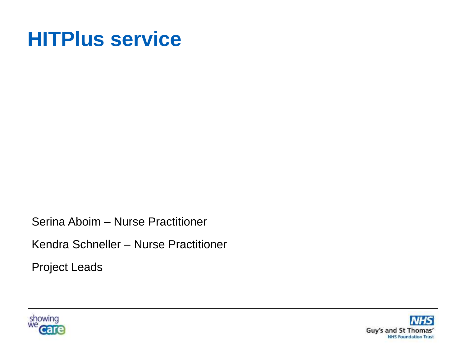#### **HITPlus service**

Serina Aboim – Nurse Practitioner

Kendra Schneller – Nurse Practitioner

Project Leads